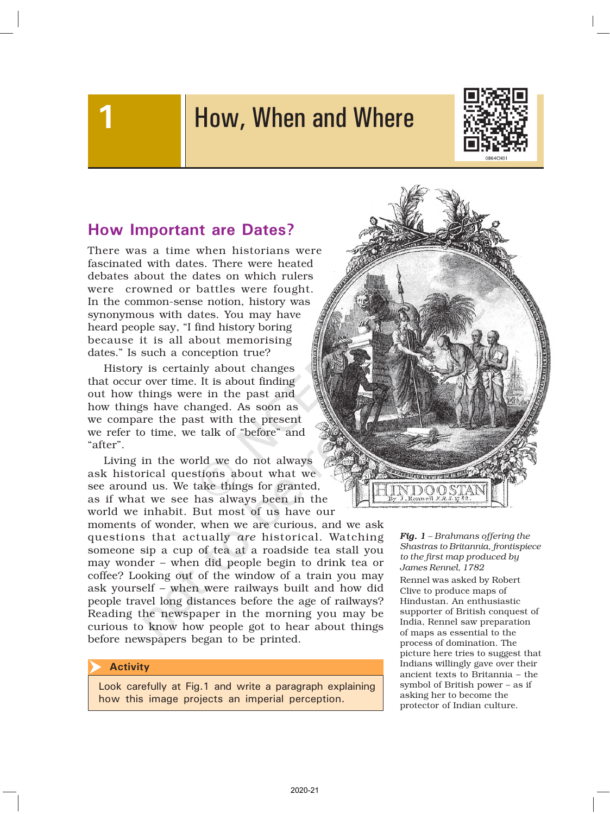# How, When and Where



### How Important are Dates?

There was a time when historians were fascinated with dates. There were heated debates about the dates on which rulers were crowned or battles were fought. In the common-sense notion, history was synonymous with dates. You may have heard people say, "I find history boring because it is all about memorising dates." Is such a conception true?

History is certainly about changes that occur over time. It is about finding out how things were in the past and how things have changed. As soon as we compare the past with the present we refer to time, we talk of "before" and "after".

Living in the world we do not always ask historical questions about what we see around us. We take things for granted, as if what we see has always been in the world we inhabit. But most of us have our

moments of wonder, when we are curious, and we ask questions that actually *are* historical. Watching someone sip a cup of tea at a roadside tea stall you may wonder – when did people begin to drink tea or coffee? Looking out of the window of a train you may ask yourself – when were railways built and how did people travel long distances before the age of railways? Reading the newspaper in the morning you may be curious to know how people got to hear about things before newspapers began to be printed.

#### **Activity**  $\overline{\blacktriangleright}$

Look carefully at Fig.1 and write a paragraph explaining how this image projects an imperial perception.



*Fig. 1 – Brahmans offering the Shastras to Britannia, frontispiece to the first map produced by James Rennel, 1782*

Rennel was asked by Robert Clive to produce maps of Hindustan. An enthusiastic supporter of British conquest of India, Rennel saw preparation of maps as essential to the process of domination. The picture here tries to suggest that Indians willingly gave over their ancient texts to Britannia – the symbol of British power – as if asking her to become the protector of Indian culture.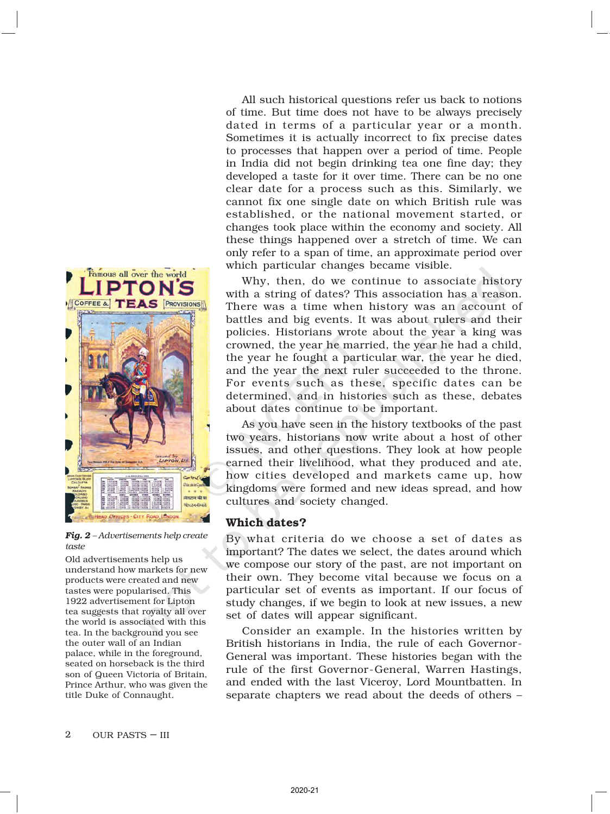

*Fig. 2 – Advertisements help create taste*

Old advertisements help us understand how markets for new products were created and new tastes were popularised. This 1922 advertisement for Lipton tea suggests that royalty all over the world is associated with this tea. In the background you see the outer wall of an Indian palace, while in the foreground, seated on horseback is the third son of Queen Victoria of Britain, Prince Arthur, who was given the title Duke of Connaught.

All such historical questions refer us back to notions of time. But time does not have to be always precisely dated in terms of a particular year or a month. Sometimes it is actually incorrect to fix precise dates to processes that happen over a period of time. People in India did not begin drinking tea one fine day; they developed a taste for it over time. There can be no one clear date for a process such as this. Similarly, we cannot fix one single date on which British rule was established, or the national movement started, or changes took place within the economy and society. All these things happened over a stretch of time. We can only refer to a span of time, an approximate period over which particular changes became visible.

Why, then, do we continue to associate history with a string of dates? This association has a reason. There was a time when history was an account of battles and big events. It was about rulers and their policies. Historians wrote about the year a king was crowned, the year he married, the year he had a child, the year he fought a particular war, the year he died, and the year the next ruler succeeded to the throne. For events such as these, specific dates can be determined, and in histories such as these, debates about dates continue to be important.

As you have seen in the history textbooks of the past two years, historians now write about a host of other issues, and other questions. They look at how people earned their livelihood, what they produced and ate, how cities developed and markets came up, how kingdoms were formed and new ideas spread, and how cultures and society changed.

#### Which dates?

By what criteria do we choose a set of dates as important? The dates we select, the dates around which we compose our story of the past, are not important on their own. They become vital because we focus on a particular set of events as important. If our focus of study changes, if we begin to look at new issues, a new set of dates will appear significant.

Consider an example. In the histories written by British historians in India, the rule of each Governor-General was important. These histories began with the rule of the first Governor-General, Warren Hastings, and ended with the last Viceroy, Lord Mountbatten. In separate chapters we read about the deeds of others –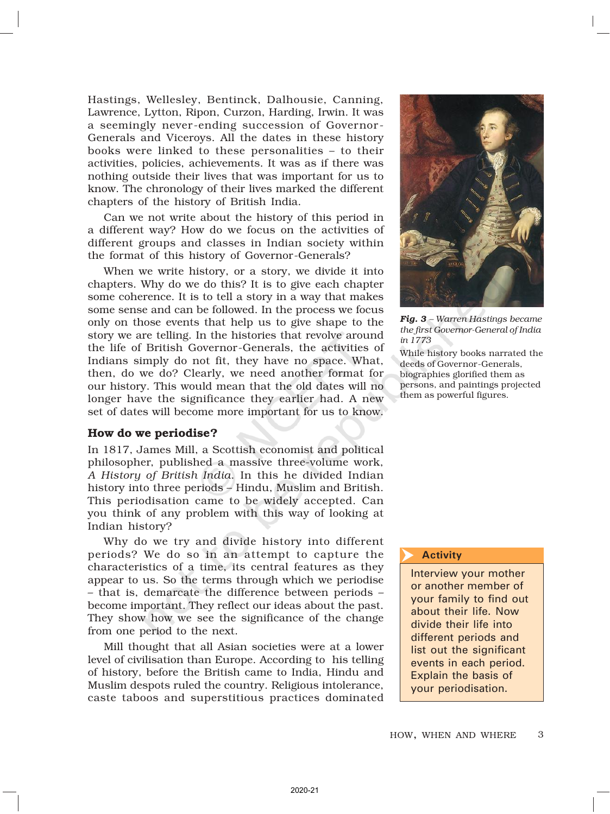Hastings, Wellesley, Bentinck, Dalhousie, Canning, Lawrence, Lytton, Ripon, Curzon, Harding, Irwin. It was a seemingly never-ending succession of Governor - Generals and Viceroys. All the dates in these history books were linked to these personalities – to their activities, policies, achievements. It was as if there was nothing outside their lives that was important for us to know. The chronology of their lives marked the different chapters of the history of British India.

Can we not write about the history of this period in a different way? How do we focus on the activities of different groups and classes in Indian society within the format of this history of Governor-Generals?

When we write history, or a story, we divide it into chapters. Why do we do this? It is to give each chapter some coherence. It is to tell a story in a way that makes some sense and can be followed. In the process we focus only on those events that help us to give shape to the story we are telling. In the histories that revolve around the life of British Governor-Generals, the activities of Indians simply do not fit, they have no space. What, then, do we do? Clearly, we need another format for our history. This would mean that the old dates will no longer have the significance they earlier had. A new set of dates will become more important for us to know.

#### How do we periodise?

In 1817, James Mill, a Scottish economist and political philosopher, published a massive three-volume work, *A History of British India*. In this he divided Indian history into three periods – Hindu, Muslim and British. This periodisation came to be widely accepted. Can you think of any problem with this way of looking at Indian history?

Why do we try and divide history into different periods? We do so in an attempt to capture the characteristics of a time, its central features as they appear to us. So the terms through which we periodise – that is, demarcate the difference between periods – become important. They reflect our ideas about the past. They show how we see the significance of the change from one period to the next.

Mill thought that all Asian societies were at a lower level of civilisation than Europe. According to his telling of history, before the British came to India, Hindu and Muslim despots ruled the country. Religious intolerance, caste taboos and superstitious practices dominated



*Fig. 3 – Warren Hastings became the first Governor-General of India in 1773*

While history books narrated the deeds of Governor-Generals, biographies glorified them as persons, and paintings projected them as powerful figures.

#### **Activity**

Interview your mother or another member of your family to find out about their life. Now divide their life into different periods and list out the significant events in each period. Explain the basis of your periodisation.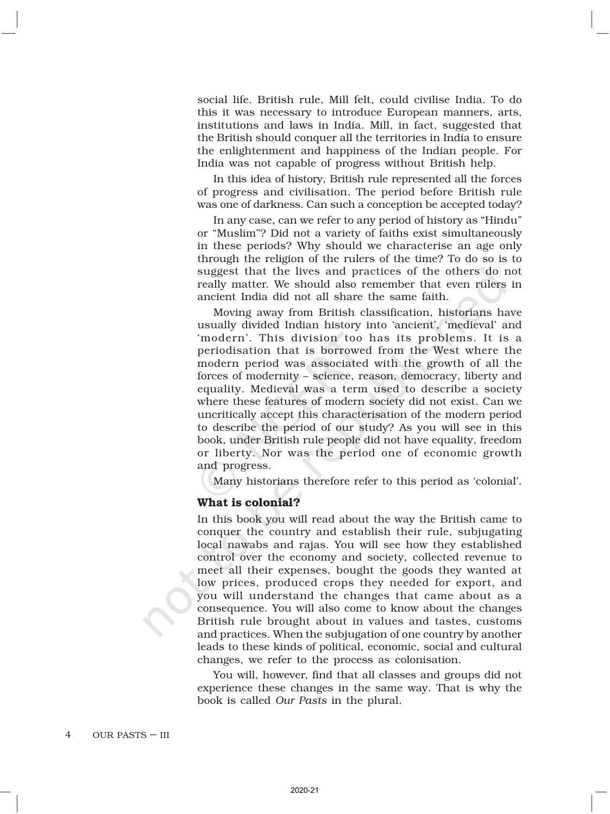social life. British rule, Mill felt, could civilise India. To do this it was necessary to introduce European manners, arts, institutions and laws in India. Mill, in fact, suggested that the British should conquer all the territories in India to ensure the enlightenment and happiness of the Indian people. For India was not capable of progress without British help.

In this idea of history, British rule represented all the forces of progress and civilisation. The period before British rule was one of darkness. Can such a conception be accepted today?

In any case, can we refer to any period of history as "Hindu" or "Muslim"? Did not a variety of faiths exist simultaneously in these periods? Why should we characterise an age only through the religion of the rulers of the time? To do so is to suggest that the lives and practices of the others do not really matter. We should also remember that even rulers in ancient India did not all share the same faith.

Moving away from British classification, historians have usually divided Indian history into 'ancient', 'medieval' and 'modern'. This division too has its problems. It is a periodisation that is borrowed from the West where the modern period was associated with the growth of all the forces of modernity – science, reason, democracy, liberty and equality. Medieval was a term used to describe a society where these features of modern society did not exist. Can we uncritically accept this characterisation of the modern period to describe the period of our study? As you will see in this book, under British rule people did not have equality, freedom or liberty. Nor was the period one of economic growth and progress.

Many historians therefore refer to this period as 'colonial'.

#### What is colonial?

In this book you will read about the way the British came to conquer the country and establish their rule, subjugating local nawabs and rajas. You will see how they established control over the economy and society, collected revenue to meet all their expenses, bought the goods they wanted at low prices, produced crops they needed for export, and you will understand the changes that came about as a consequence. You will also come to know about the changes British rule brought about in values and tastes, customs and practices. When the subjugation of one country by another leads to these kinds of political, economic, social and cultural changes, we refer to the process as colonisation.

You will, however, find that all classes and groups did not experience these changes in the same way. That is why the book is called *Our Pasts* in the plural.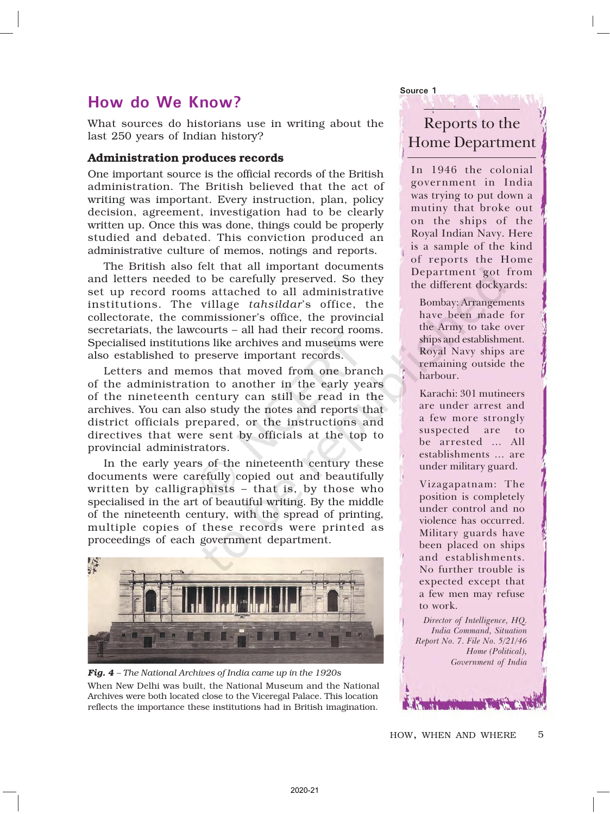### How do We Know?

What sources do historians use in writing about the last 250 years of Indian history?

#### Administration produces records

One important source is the official records of the British administration. The British believed that the act of writing was important. Every instruction, plan, policy decision, agreement, investigation had to be clearly written up. Once this was done, things could be properly studied and debated. This conviction produced an administrative culture of memos, notings and reports.

The British also felt that all important documents and letters needed to be carefully preserved. So they set up record rooms attached to all administrative institutions. The village *tahsildar*'s office, the collectorate, the commissioner's office, the provincial secretariats, the lawcourts – all had their record rooms. Specialised institutions like archives and museums were also established to preserve important records.

Letters and memos that moved from one branch of the administration to another in the early years of the nineteenth century can still be read in the archives. You can also study the notes and reports that district officials prepared, or the instructions and directives that were sent by officials at the top to provincial administrators.

In the early years of the nineteenth century these documents were carefully copied out and beautifully written by calligraphists – that is, by those who specialised in the art of beautiful writing. By the middle of the nineteenth century, with the spread of printing, multiple copies of these records were printed as proceedings of each government department.



*Fig. 4 – The National Archives of India came up in the 1920s* When New Delhi was built, the National Museum and the National Archives were both located close to the Viceregal Palace. This location reflects the importance these institutions had in British imagination.

Reports to the Home Department

Source 1

In 1946 the colonial government in India was trying to put down a mutiny that broke out on the ships of the Royal Indian Navy. Here is a sample of the kind of reports the Home Department got from the different dockyards:

Bombay: Arrangements have been made for the Army to take over ships and establishment. Royal Navy ships are remaining outside the harbour.

Karachi: 301 mutineers are under arrest and a few more strongly suspected are to be arrested … All establishments … are under military guard.

Vizagapatnam: The position is completely under control and no violence has occurred. Military guards have been placed on ships and establishments. No further trouble is expected except that a few men may refuse to work.

Director of Intelligence, HQ. India Command, Situation Report No. 7. File No. 5/21/46 Home (Political), Government of India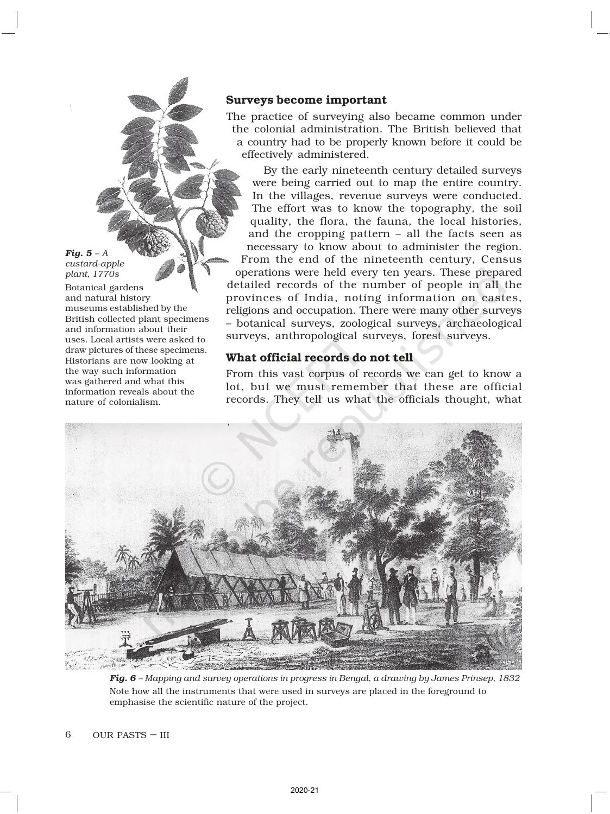#### Surveys become important

The practice of surveying also became common under the colonial administration. The British believed that a country had to be properly known before it could be effectively administered.

By the early nineteenth century detailed surveys were being carried out to map the entire country. In the villages, revenue surveys were conducted. The effort was to know the topography, the soil quality, the flora, the fauna, the local histories, and the cropping pattern – all the facts seen as necessary to know about to administer the region. From the end of the nineteenth century, Census operations were held every ten years. These prepared detailed records of the number of people in all the provinces of India, noting information on castes, religions and occupation. There were many other surveys – botanical surveys, zoological surveys, archaeological surveys, anthropological surveys, forest surveys.

#### What official records do not tell

From this vast corpus of records we can get to know a lot, but we must remember that these are official records. They tell us what the officials thought, what



*Fig. 6 – Mapping and survey operations in progress in Bengal, a drawing by James Prinsep, 1832* Note how all the instruments that were used in surveys are placed in the foreground to emphasise the scientific nature of the project.

*Fig. 5 – A custard-apple plant, 1770s* Botanical gardens and natural history

museums established by the British collected plant specimens and information about their uses. Local artists were asked to draw pictures of these specimens. Historians are now looking at the way such information was gathered and what this information reveals about the

nature of colonialism.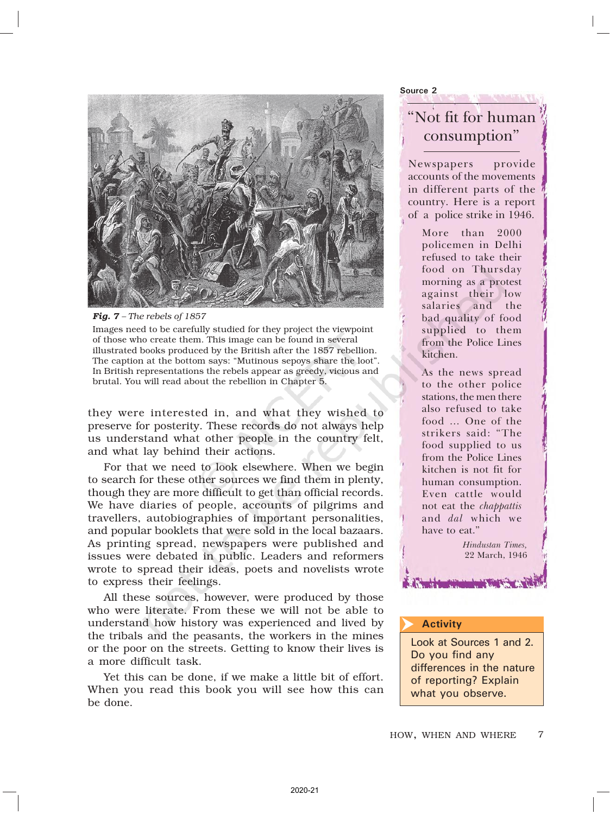



Images need to be carefully studied for they project the viewpoint of those who create them. This image can be found in several illustrated books produced by the British after the 1857 rebellion. The caption at the bottom says: "Mutinous sepoys share the loot". In British representations the rebels appear as greedy, vicious and brutal. You will read about the rebellion in Chapter 5.

they were interested in, and what they wished to preserve for posterity. These records do not always help us understand what other people in the country felt, and what lay behind their actions.

For that we need to look elsewhere. When we begin to search for these other sources we find them in plenty, though they are more difficult to get than official records. We have diaries of people, accounts of pilgrims and travellers, autobiographies of important personalities, and popular booklets that were sold in the local bazaars. As printing spread, newspapers were published and issues were debated in public. Leaders and reformers wrote to spread their ideas, poets and novelists wrote to express their feelings.

All these sources, however, were produced by those who were literate. From these we will not be able to understand how history was experienced and lived by the tribals and the peasants, the workers in the mines or the poor on the streets. Getting to know their lives is a more difficult task.

Yet this can be done, if we make a little bit of effort. When you read this book you will see how this can be done.

Source 2

## "Not fit for human consumption"

Newspapers provide accounts of the movements in different parts of the country. Here is a report of a police strike in 1946.

More than 2000 policemen in Delhi refused to take their food on Thursday morning as a protest against their low salaries and the bad quality of food supplied to them from the Police Lines kitchen.

As the news spread to the other police stations, the men there also refused to take food … One of the strikers said: "The food supplied to us from the Police Lines kitchen is not fit for human consumption. Even cattle would not eat the *chappattis* and dal which we have to eat."

> Hindustan Times, 22 March, 1946

#### **Activity**

Look at Sources 1 and 2. Do you find any differences in the nature of reporting? Explain what you observe.